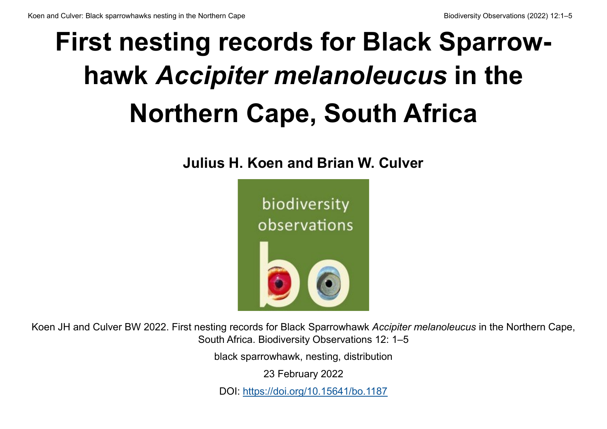# **First nesting records for Black Sparrowhawk** *Accipiter melanoleucus* **in the Northern Cape, South Africa**

**Julius H. Koen and Brian W. Culver**



Koen JH and Culver BW 2022. First nesting records for Black Sparrowhawk *Accipiter melanoleucus* in the Northern Cape, South Africa. Biodiversity Observations 12: 1–5

black sparrowhawk, nesting, distribution

23 February 2022

DOI: <https://doi.org/10.15641/bo.1187>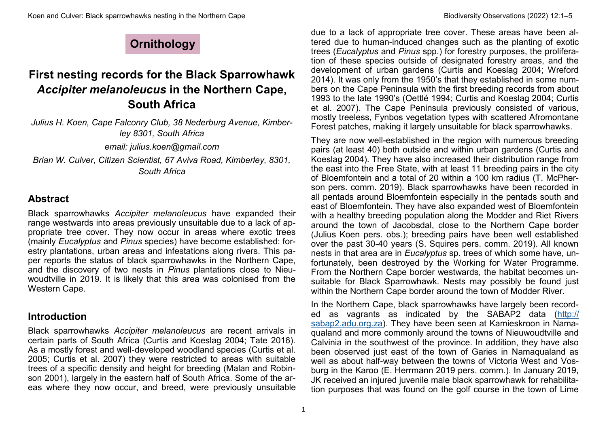# **Ornithology**

# **First nesting records for the Black Sparrowhawk**  *Accipiter melanoleucus* **in the Northern Cape, South Africa**

*Julius H. Koen, Cape Falconry Club, 38 Nederburg Avenue, Kimberley 8301, South Africa email: julius.koen@gmail.com Brian W. Culver, Citizen Scientist, 67 Aviva Road, Kimberley, 8301,* 

*South Africa* 

### **Abstract**

Black sparrowhawks *Accipiter melanoleucus* have expanded their range westwards into areas previously unsuitable due to a lack of appropriate tree cover. They now occur in areas where exotic trees (mainly *Eucalyptus* and *Pinus* species) have become established: forestry plantations, urban areas and infestations along rivers. This paper reports the status of black sparrowhawks in the Northern Cape, and the discovery of two nests in *Pinus* plantations close to Nieuwoudtville in 2019. It is likely that this area was colonised from the Western Cape.

### **Introduction**

Black sparrowhawks *Accipiter melanoleucus* are recent arrivals in certain parts of South Africa (Curtis and Koeslag 2004; Tate 2016). As a mostly forest and well-developed woodland species (Curtis et al. 2005; Curtis et al. 2007) they were restricted to areas with suitable trees of a specific density and height for breeding (Malan and Robinson 2001), largely in the eastern half of South Africa. Some of the areas where they now occur, and breed, were previously unsuitable

due to a lack of appropriate tree cover. These areas have been altered due to human-induced changes such as the planting of exotic trees (*Eucalyptus* and *Pinus* spp.) for forestry purposes, the proliferation of these species outside of designated forestry areas, and the development of urban gardens (Curtis and Koeslag 2004; Wreford 2014). It was only from the 1950's that they established in some numbers on the Cape Peninsula with the first breeding records from about 1993 to the late 1990's (Oettlé 1994; Curtis and Koeslag 2004; Curtis et al. 2007). The Cape Peninsula previously consisted of various, mostly treeless, Fynbos vegetation types with scattered Afromontane Forest patches, making it largely unsuitable for black sparrowhawks.

They are now well-established in the region with numerous breeding pairs (at least 40) both outside and within urban gardens (Curtis and Koeslag 2004). They have also increased their distribution range from the east into the Free State, with at least 11 breeding pairs in the city of Bloemfontein and a total of 20 within a 100 km radius (T. McPherson pers. comm. 2019). Black sparrowhawks have been recorded in all pentads around Bloemfontein especially in the pentads south and east of Bloemfontein. They have also expanded west of Bloemfontein with a healthy breeding population along the Modder and Riet Rivers around the town of Jacobsdal, close to the Northern Cape border (Julius Koen pers. obs*.*); breeding pairs have been well established over the past 30-40 years (S. Squires pers. comm. 2019). All known nests in that area are in *Eucalyptus* sp*.* trees of which some have, unfortunately, been destroyed by the Working for Water Programme. From the Northern Cape border westwards, the habitat becomes unsuitable for Black Sparrowhawk. Nests may possibly be found just within the Northern Cape border around the town of Modder River.

In the Northern Cape, black sparrowhawks have largely been recorded as vagrants as indicated by the SABAP2 data ([http://](http://sabap2.adu.org.za) [sabap2.adu.org.za\).](http://sabap2.adu.org.za) They have been seen at Kamieskroon in Namaqualand and more commonly around the towns of Nieuwoudtville and Calvinia in the southwest of the province. In addition, they have also been observed just east of the town of Garies in Namaqualand as well as about half-way between the towns of Victoria West and Vosburg in the Karoo (E. Herrmann 2019 pers. comm.). In January 2019, JK received an injured juvenile male black sparrowhawk for rehabilitation purposes that was found on the golf course in the town of Lime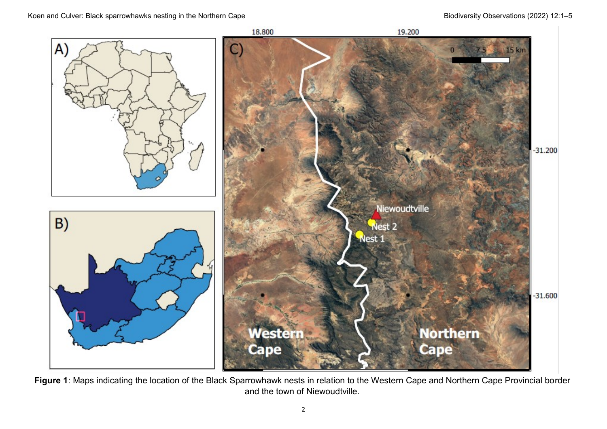#### Koen and Culver: Black sparrowhawks nesting in the Northern Cape Biodiversity Observations (2022) 12:1–5



**Figure 1**: Maps indicating the location of the Black Sparrowhawk nests in relation to the Western Cape and Northern Cape Provincial border and the town of Niewoudtville.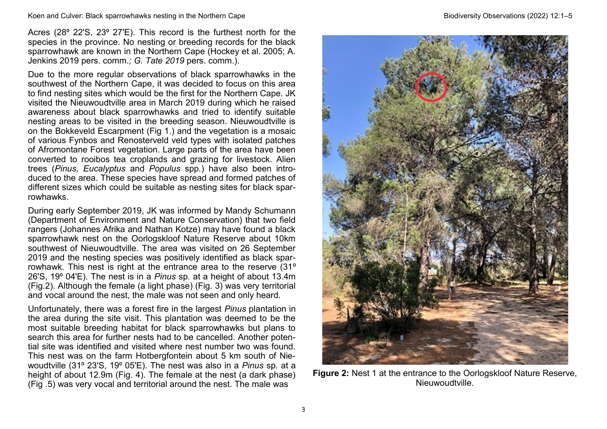Acres (28° 22'S, 23° 27'E). This record is the furthest north for the species in the province. No nesting or breeding records for the black sparrowhawk are known in the Northern Cape (Hockey et al. 2005; A. Jenkins 2019 pers. comm.*; G. Tate 2019* pers. comm.).

Due to the more regular observations of black sparrowhawks in the southwest of the Northern Cape, it was decided to focus on this area to find nesting sites which would be the first for the Northern Cape. JK visited the Nieuwoudtville area in March 2019 during which he raised awareness about black sparrowhawks and tried to identify suitable nesting areas to be visited in the breeding season. Nieuwoudtville is on the Bokkeveld Escarpment (Fig 1.) and the vegetation is a mosaic of various Fynbos and Renosterveld veld types with isolated patches of Afromontane Forest vegetation. Large parts of the area have been converted to rooibos tea croplands and grazing for livestock. Alien trees (*Pinus, Eucalyptus* and *Populus* spp*.*) have also been introduced to the area. These species have spread and formed patches of different sizes which could be suitable as nesting sites for black sparrowhawks.

During early September 2019, JK was informed by Mandy Schumann (Department of Environment and Nature Conservation) that two field rangers (Johannes Afrika and Nathan Kotze) may have found a black sparrowhawk nest on the Oorlogskloof Nature Reserve about 10km southwest of Nieuwoudtville. The area was visited on 26 September 2019 and the nesting species was positively identified as black sparrowhawk. This nest is right at the entrance area to the reserve (31<sup>°</sup> 26'S, 19⁰ 04'E). The nest is in a *Pinus* sp*.* at a height of about 13.4m (Fig.2). Although the female (a light phase) (Fig. 3) was very territorial and vocal around the nest, the male was not seen and only heard.

Unfortunately, there was a forest fire in the largest *Pinus* plantation in the area during the site visit. This plantation was deemed to be the most suitable breeding habitat for black sparrowhawks but plans to search this area for further nests had to be cancelled. Another potential site was identified and visited where nest number two was found. This nest was on the farm Hotbergfontein about 5 km south of Niewoudtville (31⁰ 23'S, 19⁰ 05'E). The nest was also in a *Pinus* sp*.* at a height of about 12.9m (Fig. 4). The female at the nest (a dark phase) (Fig .5) was very vocal and territorial around the nest. The male was



**Figure 2:** Nest 1 at the entrance to the Oorlogskloof Nature Reserve, Nieuwoudtville.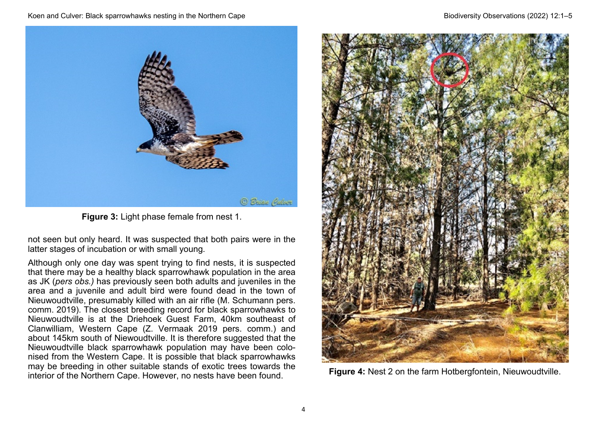

**Figure 3:** Light phase female from nest 1.

not seen but only heard. It was suspected that both pairs were in the latter stages of incubation or with small young.

Although only one day was spent trying to find nests, it is suspected that there may be a healthy black sparrowhawk population in the area as JK (*pers obs.)* has previously seen both adults and juveniles in the area and a juvenile and adult bird were found dead in the town of Nieuwoudtville, presumably killed with an air rifle (M. Schumann pers. comm. 2019). The closest breeding record for black sparrowhawks to Nieuwoudtville is at the Driehoek Guest Farm, 40km southeast of Clanwilliam, Western Cape (Z. Vermaak 2019 pers. comm.) and about 145km south of Niewoudtville. It is therefore suggested that the Nieuwoudtville black sparrowhawk population may have been colonised from the Western Cape. It is possible that black sparrowhawks may be breeding in other suitable stands of exotic trees towards the interior of the Northern Cape. However, no nests have been found. **Figure 4:** Nest 2 on the farm Hotbergfontein, Nieuwoudtville.

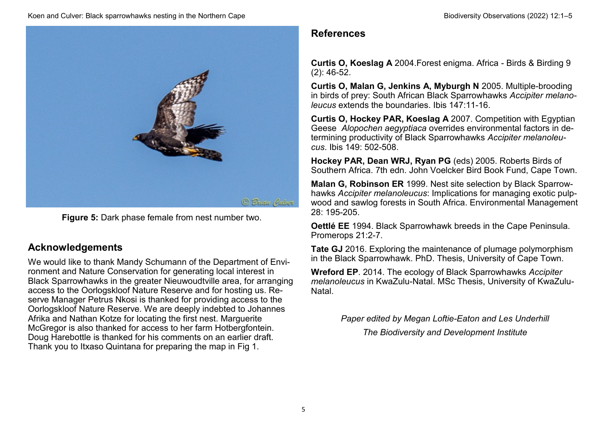

**Figure 5:** Dark phase female from nest number two.

## **Acknowledgements**

We would like to thank Mandy Schumann of the Department of Environment and Nature Conservation for generating local interest in Black Sparrowhawks in the greater Nieuwoudtville area, for arranging access to the Oorlogskloof Nature Reserve and for hosting us. Reserve Manager Petrus Nkosi is thanked for providing access to the Oorlogskloof Nature Reserve. We are deeply indebted to Johannes Afrika and Nathan Kotze for locating the first nest. Marguerite McGregor is also thanked for access to her farm Hotbergfontein. Doug Harebottle is thanked for his comments on an earlier draft. Thank you to Itxaso Quintana for preparing the map in Fig 1.

## **References**

**Curtis O, Koeslag A** 2004.Forest enigma. Africa - Birds & Birding 9 (2): 46-52.

**Curtis O, Malan G, Jenkins A, Myburgh N** 2005. Multiple-brooding in birds of prey: South African Black Sparrowhawks *Accipiter melanoleucus* extends the boundaries. Ibis 147:11-16.

**Curtis O, Hockey PAR, Koeslag A** 2007. Competition with Egyptian Geese *Alopochen aegyptiaca* overrides environmental factors in determining productivity of Black Sparrowhawks *Accipiter melanoleucus*. Ibis 149: 502-508.

**Hockey PAR, Dean WRJ, Ryan PG** (eds) 2005. Roberts Birds of Southern Africa. 7th edn. John Voelcker Bird Book Fund, Cape Town.

**Malan G, Robinson ER** 1999. Nest site selection by Black Sparrowhawks *Accipiter melanoleucus*: Implications for managing exotic pulpwood and sawlog forests in South Africa. Environmental Management 28: 195-205.

**Oettlé EE** 1994. Black Sparrowhawk breeds in the Cape Peninsula. Promerops 21:2-7.

**Tate GJ** 2016. Exploring the maintenance of plumage polymorphism in the Black Sparrowhawk. PhD. Thesis, University of Cape Town.

**Wreford EP**. 2014. The ecology of Black Sparrowhawks *Accipiter melanoleucus* in KwaZulu-Natal. MSc Thesis, University of KwaZulu-Natal.

*Paper edited by Megan Loftie-Eaton and Les Underhill* 

*The Biodiversity and Development Institute*